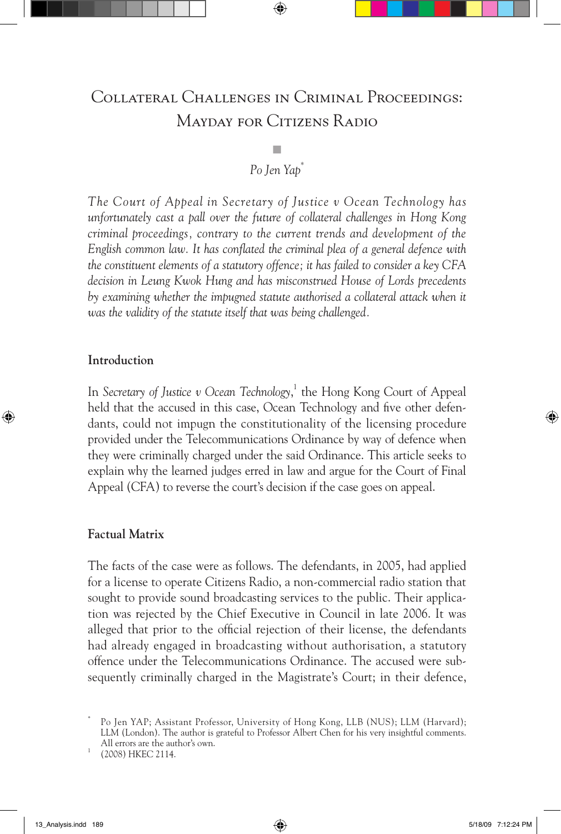# Collateral Challenges in Criminal Proceedings: Mayday for Citizens Radio

## ■ *Po Jen Yap\**

*The Court of Appeal in Secretary of Justice v Ocean Technology has unfortunately cast a pall over the future of collateral challenges in Hong Kong criminal proceedings, contrary to the current trends and development of the English common law. It has conflated the criminal plea of a general defence with the constituent elements of a statutory offence; it has failed to consider a key CFA decision in Leung Kwok Hung and has misconstrued House of Lords precedents by examining whether the impugned statute authorised a collateral attack when it was the validity of the statute itself that was being challenged.* 

#### **Introduction**

In *Secretary of Justice v Ocean Technology*, 1 the Hong Kong Court of Appeal held that the accused in this case, Ocean Technology and five other defendants, could not impugn the constitutionality of the licensing procedure provided under the Telecommunications Ordinance by way of defence when they were criminally charged under the said Ordinance. This article seeks to explain why the learned judges erred in law and argue for the Court of Final Appeal (CFA) to reverse the court's decision if the case goes on appeal.

### **Factual Matrix**

The facts of the case were as follows. The defendants, in 2005, had applied for a license to operate Citizens Radio, a non-commercial radio station that sought to provide sound broadcasting services to the public. Their application was rejected by the Chief Executive in Council in late 2006. It was alleged that prior to the official rejection of their license, the defendants had already engaged in broadcasting without authorisation, a statutory offence under the Telecommunications Ordinance. The accused were subsequently criminally charged in the Magistrate's Court; in their defence,

Po Jen YAP; Assistant Professor, University of Hong Kong, LLB (NUS); LLM (Harvard); LLM (London). The author is grateful to Professor Albert Chen for his very insightful comments. All errors are the author's own. <sup>1</sup> (2008) HKEC 2114.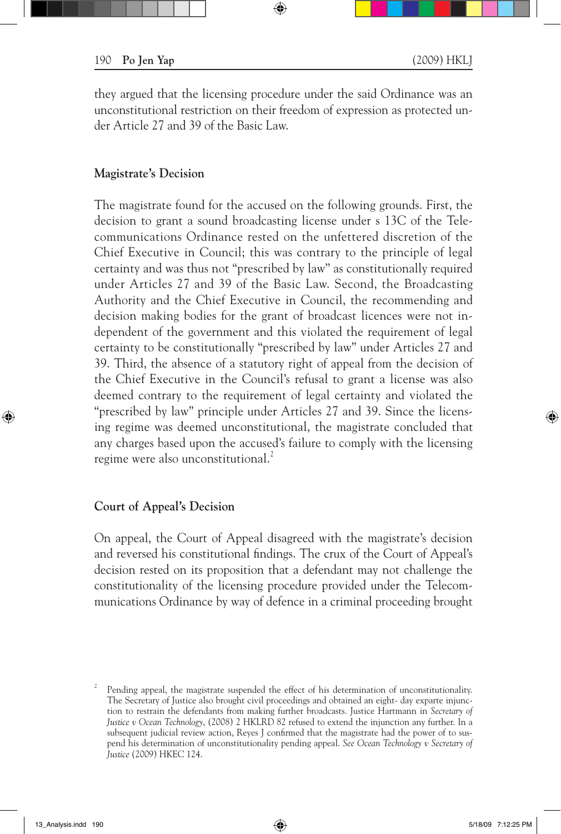they argued that the licensing procedure under the said Ordinance was an unconstitutional restriction on their freedom of expression as protected under Article 27 and 39 of the Basic Law.

#### **Magistrate's Decision**

The magistrate found for the accused on the following grounds. First, the decision to grant a sound broadcasting license under s 13C of the Telecommunications Ordinance rested on the unfettered discretion of the Chief Executive in Council; this was contrary to the principle of legal certainty and was thus not "prescribed by law" as constitutionally required under Articles 27 and 39 of the Basic Law. Second, the Broadcasting Authority and the Chief Executive in Council, the recommending and decision making bodies for the grant of broadcast licences were not independent of the government and this violated the requirement of legal certainty to be constitutionally "prescribed by law" under Articles 27 and 39. Third, the absence of a statutory right of appeal from the decision of the Chief Executive in the Council's refusal to grant a license was also deemed contrary to the requirement of legal certainty and violated the "prescribed by law" principle under Articles 27 and 39. Since the licensing regime was deemed unconstitutional, the magistrate concluded that any charges based upon the accused's failure to comply with the licensing regime were also unconstitutional.<sup>2</sup>

#### **Court of Appeal's Decision**

On appeal, the Court of Appeal disagreed with the magistrate's decision and reversed his constitutional findings. The crux of the Court of Appeal's decision rested on its proposition that a defendant may not challenge the constitutionality of the licensing procedure provided under the Telecommunications Ordinance by way of defence in a criminal proceeding brought

<sup>2</sup> Pending appeal, the magistrate suspended the effect of his determination of unconstitutionality. The Secretary of Justice also brought civil proceedings and obtained an eight- day exparte injunction to restrain the defendants from making further broadcasts. Justice Hartmann in *Secretary of Justice v Ocean Technology*, (2008) 2 HKLRD 82 refused to extend the injunction any further. In a subsequent judicial review action, Reyes J confirmed that the magistrate had the power of to suspend his determination of unconstitutionality pending appeal. *See Ocean Technology v Secretary of Justice* (2009) HKEC 124.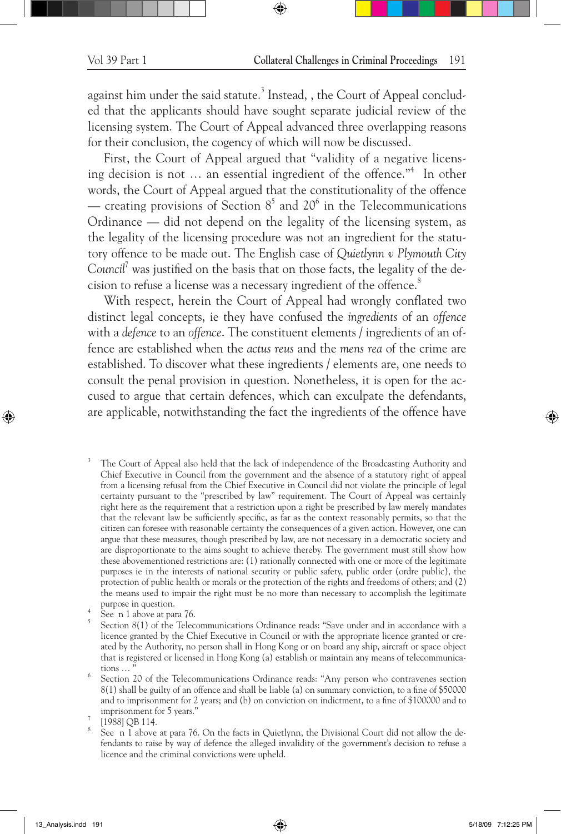against him under the said statute.<sup>3</sup> Instead, , the Court of Appeal concluded that the applicants should have sought separate judicial review of the licensing system. The Court of Appeal advanced three overlapping reasons for their conclusion, the cogency of which will now be discussed.

First, the Court of Appeal argued that "validity of a negative licensing decision is not … an essential ingredient of the offence."<sup>4</sup> In other words, the Court of Appeal argued that the constitutionality of the offence — creating provisions of Section  $8^5$  and  $20^6$  in the Telecommunications Ordinance — did not depend on the legality of the licensing system, as the legality of the licensing procedure was not an ingredient for the statutory offence to be made out. The English case of *Quietlynn v Plymouth City*  Council<sup>7</sup> was justified on the basis that on those facts, the legality of the decision to refuse a license was a necessary ingredient of the offence.<sup>8</sup>

With respect, herein the Court of Appeal had wrongly conflated two distinct legal concepts, ie they have confused the *ingredients* of an *offence*  with a *defence* to an *offence*. The constituent elements / ingredients of an offence are established when the *actus reus* and the *mens rea* of the crime are established. To discover what these ingredients / elements are, one needs to consult the penal provision in question. Nonetheless, it is open for the accused to argue that certain defences, which can exculpate the defendants, are applicable, notwithstanding the fact the ingredients of the offence have

The Court of Appeal also held that the lack of independence of the Broadcasting Authority and Chief Executive in Council from the government and the absence of a statutory right of appeal from a licensing refusal from the Chief Executive in Council did not violate the principle of legal certainty pursuant to the "prescribed by law" requirement. The Court of Appeal was certainly right here as the requirement that a restriction upon a right be prescribed by law merely mandates that the relevant law be sufficiently specific, as far as the context reasonably permits, so that the citizen can foresee with reasonable certainty the consequences of a given action. However, one can argue that these measures, though prescribed by law, are not necessary in a democratic society and are disproportionate to the aims sought to achieve thereby. The government must still show how these abovementioned restrictions are: (1) rationally connected with one or more of the legitimate purposes ie in the interests of national security or public safety, public order (ordre public), the protection of public health or morals or the protection of the rights and freedoms of others; and (2) the means used to impair the right must be no more than necessary to accomplish the legitimate

 $\frac{p_{\text{up}}}{p_{\text{up}}}$  See n 1 above at para 76.  $\frac{p_{\text{up}}}{p_{\text{up}}}$  See n 1 above at para 76.  $\frac{p_{\text{up}}}{p_{\text{up}}}$ licence granted by the Chief Executive in Council or with the appropriate licence granted or created by the Authority, no person shall in Hong Kong or on board any ship, aircraft or space object that is registered or licensed in Hong Kong (a) establish or maintain any means of telecommunica-

tions ... "<br>
<sup>6</sup> Section 20 of the Telecommunications Ordinance reads: "Any person who contravenes section 8(1) shall be guilty of an offence and shall be liable (a) on summary conviction, to a fine of \$50000 and to imprisonment for 2 years; and (b) on conviction on indictment, to a fine of \$100000 and to

imprisonment for 5 years."<br>
<sup>7</sup> [1988] QB 114.<br>
<sup>8</sup> See n 1 above at para 76. On the facts in Quietlynn, the Divisional Court did not allow the defendants to raise by way of defence the alleged invalidity of the government's decision to refuse a licence and the criminal convictions were upheld.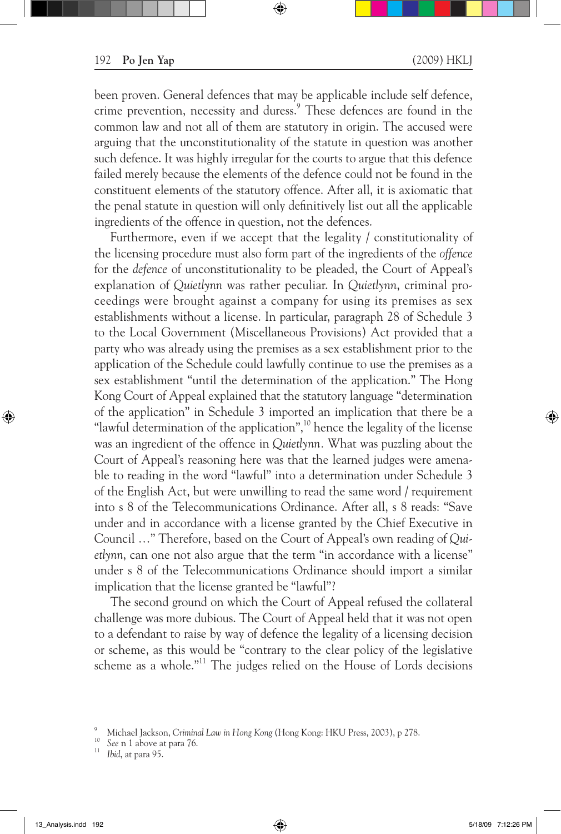been proven. General defences that may be applicable include self defence, crime prevention, necessity and duress.<sup>9</sup> These defences are found in the common law and not all of them are statutory in origin. The accused were arguing that the unconstitutionality of the statute in question was another such defence. It was highly irregular for the courts to argue that this defence failed merely because the elements of the defence could not be found in the constituent elements of the statutory offence. After all, it is axiomatic that the penal statute in question will only definitively list out all the applicable ingredients of the offence in question, not the defences.

Furthermore, even if we accept that the legality / constitutionality of the licensing procedure must also form part of the ingredients of the *offence* for the *defence* of unconstitutionality to be pleaded, the Court of Appeal's explanation of *Quietlynn* was rather peculiar. In *Quietlynn*, criminal proceedings were brought against a company for using its premises as sex establishments without a license. In particular, paragraph 28 of Schedule 3 to the Local Government (Miscellaneous Provisions) Act provided that a party who was already using the premises as a sex establishment prior to the application of the Schedule could lawfully continue to use the premises as a sex establishment "until the determination of the application." The Hong Kong Court of Appeal explained that the statutory language "determination of the application" in Schedule 3 imported an implication that there be a "lawful determination of the application", $10$  hence the legality of the license was an ingredient of the offence in *Quietlynn.* What was puzzling about the Court of Appeal's reasoning here was that the learned judges were amenable to reading in the word "lawful" into a determination under Schedule 3 of the English Act, but were unwilling to read the same word / requirement into s 8 of the Telecommunications Ordinance. After all, s 8 reads: "Save under and in accordance with a license granted by the Chief Executive in Council …" Therefore, based on the Court of Appeal's own reading of *Quietlynn*, can one not also argue that the term "in accordance with a license" under s 8 of the Telecommunications Ordinance should import a similar implication that the license granted be "lawful"?

The second ground on which the Court of Appeal refused the collateral challenge was more dubious. The Court of Appeal held that it was not open to a defendant to raise by way of defence the legality of a licensing decision or scheme, as this would be "contrary to the clear policy of the legislative scheme as a whole."<sup>11</sup> The judges relied on the House of Lords decisions

<sup>9</sup> Michael Jackson, *Criminal Law in Hong Kong* (Hong Kong: HKU Press, 2003), p 278. 10 *See* n 1 above at para 76. <sup>11</sup> *Ibid*, at para 95.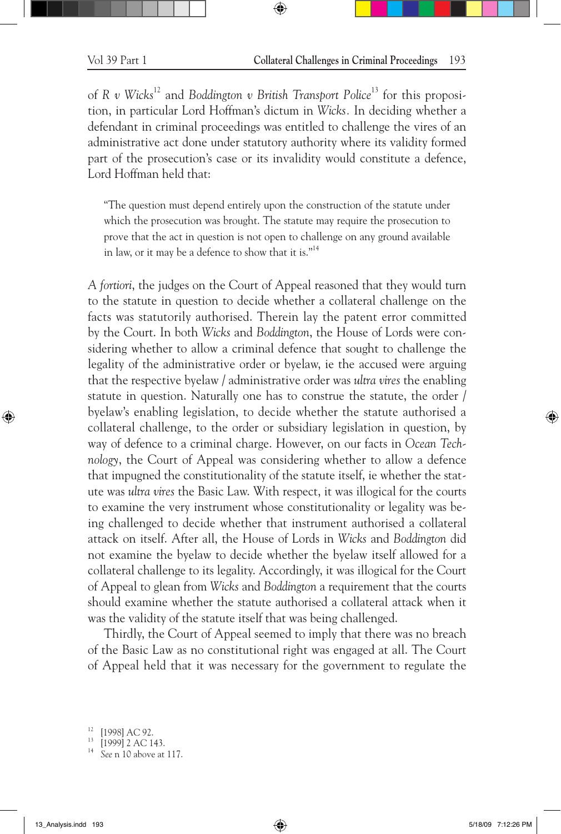of *R v Wicks*12 and *Boddington v British Transport Police*<sup>13</sup> for this proposition, in particular Lord Hoffman's dictum in *Wicks.* In deciding whether a defendant in criminal proceedings was entitled to challenge the vires of an administrative act done under statutory authority where its validity formed part of the prosecution's case or its invalidity would constitute a defence, Lord Hoffman held that:

"The question must depend entirely upon the construction of the statute under which the prosecution was brought. The statute may require the prosecution to prove that the act in question is not open to challenge on any ground available in law, or it may be a defence to show that it is."14

*A fortiori*, the judges on the Court of Appeal reasoned that they would turn to the statute in question to decide whether a collateral challenge on the facts was statutorily authorised. Therein lay the patent error committed by the Court. In both *Wicks* and *Boddington*, the House of Lords were considering whether to allow a criminal defence that sought to challenge the legality of the administrative order or byelaw, ie the accused were arguing that the respective byelaw / administrative order was *ultra vires* the enabling statute in question. Naturally one has to construe the statute, the order / byelaw's enabling legislation, to decide whether the statute authorised a collateral challenge, to the order or subsidiary legislation in question, by way of defence to a criminal charge. However, on our facts in *Ocean Technology*, the Court of Appeal was considering whether to allow a defence that impugned the constitutionality of the statute itself, ie whether the statute was *ultra vires* the Basic Law. With respect, it was illogical for the courts to examine the very instrument whose constitutionality or legality was being challenged to decide whether that instrument authorised a collateral attack on itself. After all, the House of Lords in *Wicks* and *Boddington* did not examine the byelaw to decide whether the byelaw itself allowed for a collateral challenge to its legality. Accordingly, it was illogical for the Court of Appeal to glean from *Wicks* and *Boddington* a requirement that the courts should examine whether the statute authorised a collateral attack when it was the validity of the statute itself that was being challenged.

Thirdly, the Court of Appeal seemed to imply that there was no breach of the Basic Law as no constitutional right was engaged at all. The Court of Appeal held that it was necessary for the government to regulate the

<sup>12</sup> [1998] AC 92. <sup>13</sup> [1999] 2 AC 143. <sup>14</sup> *See* n 10 above at 117.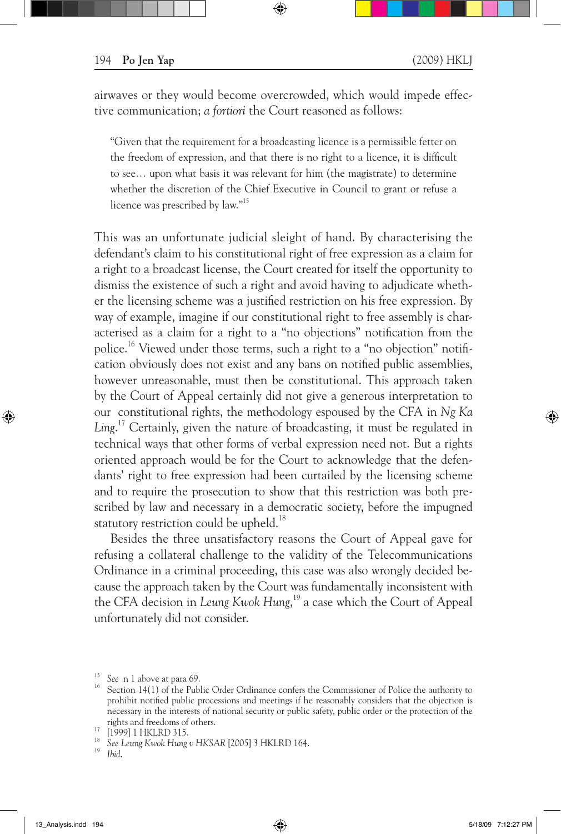airwaves or they would become overcrowded, which would impede effective communication; *a fortiori* the Court reasoned as follows:

"Given that the requirement for a broadcasting licence is a permissible fetter on the freedom of expression, and that there is no right to a licence, it is difficult to see… upon what basis it was relevant for him (the magistrate) to determine whether the discretion of the Chief Executive in Council to grant or refuse a licence was prescribed by law."15

This was an unfortunate judicial sleight of hand. By characterising the defendant's claim to his constitutional right of free expression as a claim for a right to a broadcast license, the Court created for itself the opportunity to dismiss the existence of such a right and avoid having to adjudicate whether the licensing scheme was a justified restriction on his free expression. By way of example, imagine if our constitutional right to free assembly is characterised as a claim for a right to a "no objections" notification from the police.16 Viewed under those terms, such a right to a "no objection" notification obviously does not exist and any bans on notified public assemblies, however unreasonable, must then be constitutional. This approach taken by the Court of Appeal certainly did not give a generous interpretation to our constitutional rights, the methodology espoused by the CFA in *Ng Ka Ling*. 17 Certainly, given the nature of broadcasting, it must be regulated in technical ways that other forms of verbal expression need not. But a rights oriented approach would be for the Court to acknowledge that the defendants' right to free expression had been curtailed by the licensing scheme and to require the prosecution to show that this restriction was both prescribed by law and necessary in a democratic society, before the impugned statutory restriction could be upheld.<sup>18</sup>

Besides the three unsatisfactory reasons the Court of Appeal gave for refusing a collateral challenge to the validity of the Telecommunications Ordinance in a criminal proceeding, this case was also wrongly decided because the approach taken by the Court was fundamentally inconsistent with the CFA decision in *Leung Kwok Hung*, 19 a case which the Court of Appeal unfortunately did not consider.

<sup>&</sup>lt;sup>15</sup> See n 1 above at para 69.<br><sup>16</sup> Section 14(1) of the Public Order Ordinance confers the Commissioner of Police the authority to prohibit notified public processions and meetings if he reasonably considers that the objection is necessary in the interests of national security or public safety, public order or the protection of the

rights and freedoms of others. 17 [1999] 1 HKLRD 315. <sup>18</sup> *See Leung Kwok Hung v HKSAR* [2005] 3 HKLRD 164. <sup>19</sup> *Ibid*.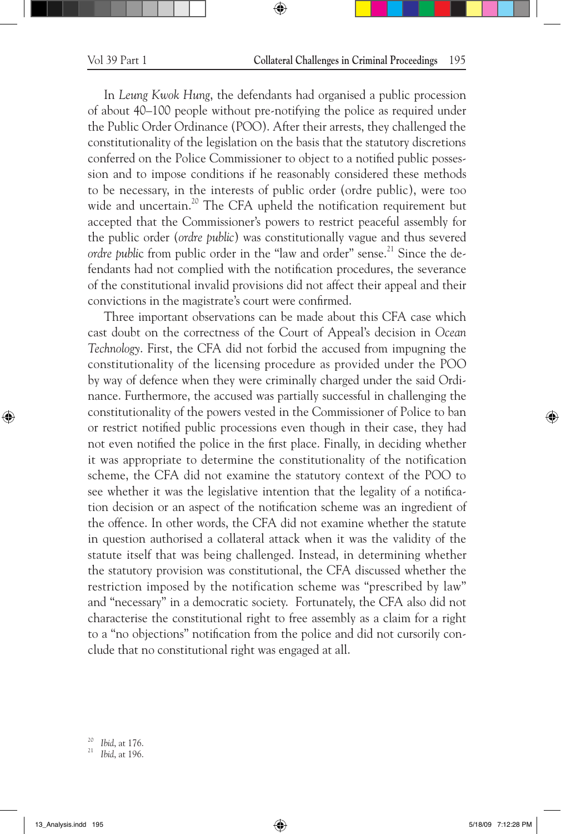In *Leung Kwok Hung*, the defendants had organised a public procession of about 40–100 people without pre-notifying the police as required under the Public Order Ordinance (POO). After their arrests, they challenged the constitutionality of the legislation on the basis that the statutory discretions conferred on the Police Commissioner to object to a notified public possession and to impose conditions if he reasonably considered these methods to be necessary, in the interests of public order (ordre public), were too wide and uncertain.<sup>20</sup> The CFA upheld the notification requirement but accepted that the Commissioner's powers to restrict peaceful assembly for the public order (*ordre public*) was constitutionally vague and thus severed *ordre public* from public order in the "law and order" sense.<sup>21</sup> Since the defendants had not complied with the notification procedures, the severance of the constitutional invalid provisions did not affect their appeal and their convictions in the magistrate's court were confirmed.

Three important observations can be made about this CFA case which cast doubt on the correctness of the Court of Appeal's decision in *Ocean Technology*. First, the CFA did not forbid the accused from impugning the constitutionality of the licensing procedure as provided under the POO by way of defence when they were criminally charged under the said Ordinance. Furthermore, the accused was partially successful in challenging the constitutionality of the powers vested in the Commissioner of Police to ban or restrict notified public processions even though in their case, they had not even notified the police in the first place. Finally, in deciding whether it was appropriate to determine the constitutionality of the notification scheme, the CFA did not examine the statutory context of the POO to see whether it was the legislative intention that the legality of a notification decision or an aspect of the notification scheme was an ingredient of the offence. In other words, the CFA did not examine whether the statute in question authorised a collateral attack when it was the validity of the statute itself that was being challenged. Instead, in determining whether the statutory provision was constitutional, the CFA discussed whether the restriction imposed by the notification scheme was "prescribed by law" and "necessary" in a democratic society. Fortunately, the CFA also did not characterise the constitutional right to free assembly as a claim for a right to a "no objections" notification from the police and did not cursorily conclude that no constitutional right was engaged at all.